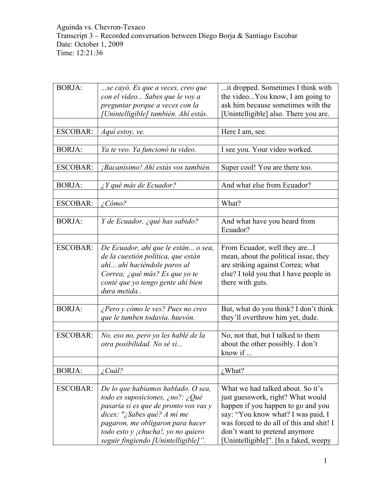| <b>BORJA:</b>   | se cayó. Es que a veces, creo que<br>con el video Sabes que le voy a<br>preguntar porque a veces con la                                                                                                                                                         | it dropped. Sometimes I think with<br>the videoYou know, I am going to<br>ask him because sometimes with the                                                                                                                                                            |
|-----------------|-----------------------------------------------------------------------------------------------------------------------------------------------------------------------------------------------------------------------------------------------------------------|-------------------------------------------------------------------------------------------------------------------------------------------------------------------------------------------------------------------------------------------------------------------------|
|                 | [Unintelligible] también. Ahí estás.                                                                                                                                                                                                                            | Unintelligible] also. There you are.                                                                                                                                                                                                                                    |
| <b>ESCOBAR:</b> | Aquí estoy, ve.                                                                                                                                                                                                                                                 | Here I am, see.                                                                                                                                                                                                                                                         |
| <b>BORJA:</b>   | Ya te veo. Ya funcionó tu video.                                                                                                                                                                                                                                | I see you. Your video worked.                                                                                                                                                                                                                                           |
|                 |                                                                                                                                                                                                                                                                 |                                                                                                                                                                                                                                                                         |
| <b>ESCOBAR:</b> | ¡Bacanísimo! Ahí estás vos también.                                                                                                                                                                                                                             | Super cool! You are there too.                                                                                                                                                                                                                                          |
| <b>BORJA:</b>   | ¿Y qué más de Ecuador?                                                                                                                                                                                                                                          | And what else from Ecuador?                                                                                                                                                                                                                                             |
| <b>ESCOBAR:</b> | $\angle$ Cómo?                                                                                                                                                                                                                                                  | What?                                                                                                                                                                                                                                                                   |
|                 |                                                                                                                                                                                                                                                                 |                                                                                                                                                                                                                                                                         |
| <b>BORJA:</b>   | Y de Ecuador, ¿qué has sabido?                                                                                                                                                                                                                                  | And what have you heard from<br>Ecuador?                                                                                                                                                                                                                                |
|                 |                                                                                                                                                                                                                                                                 |                                                                                                                                                                                                                                                                         |
| <b>ESCOBAR:</b> | De Ecuador, ahí que le están o sea,<br>de la cuestión política, que están<br>ahí ahí haciéndole paros al<br>Correa; ¿qué más? Es que yo te<br>conté que yo tengo gente ahí bien<br>dura metida                                                                  | From Ecuador, well they areI<br>mean, about the political issue, they<br>are striking against Correa; what<br>else? I told you that I have people in<br>there with guts.                                                                                                |
|                 |                                                                                                                                                                                                                                                                 |                                                                                                                                                                                                                                                                         |
| <b>BORJA:</b>   | ¿Pero y cómo le ves? Pues no creo<br>que le tumben todavía, huevón.                                                                                                                                                                                             | But, what do you think? I don't think<br>they'll overthrow him yet, dude.                                                                                                                                                                                               |
|                 |                                                                                                                                                                                                                                                                 |                                                                                                                                                                                                                                                                         |
| <b>ESCOBAR:</b> | No, eso no, pero yo les hablé de la<br>otra posibilidad. No sé si                                                                                                                                                                                               | No, not that, but I talked to them<br>about the other possibly. I don't<br>know if                                                                                                                                                                                      |
|                 |                                                                                                                                                                                                                                                                 |                                                                                                                                                                                                                                                                         |
| <b>BORJA:</b>   | ¿Cuál?                                                                                                                                                                                                                                                          | $i$ , What?                                                                                                                                                                                                                                                             |
| <b>ESCOBAR:</b> | De lo que habíamos hablado. O sea,<br>todo es suposiciones, ¿no?: ¿Qué<br>pasaría si es que de pronto vos vas y<br>dices: "¿Sabes qué? A mí me<br>pagaron, me obligaron para hacer<br>todo esto y ¡chucha!, yo no quiero<br>seguir fingiendo [Unintelligible]". | What we had talked about. So it's<br>just guesswork, right? What would<br>happen if you happen to go and you<br>say: "You know what? I was paid, I<br>was forced to do all of this and shit! I<br>don't want to pretend anymore<br>Unintelligible]". [In a faked, weepy |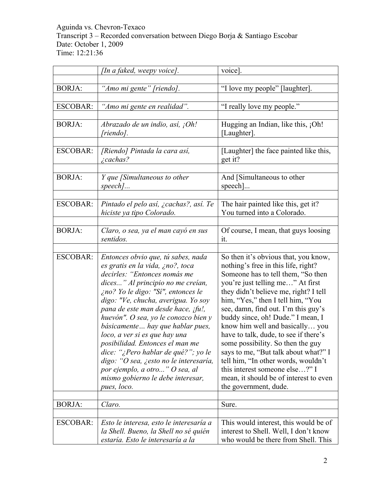|                 | [In a faked, weepy voice].                                                                                                                                                                                                                                                                                                                                                                                                                                                                                                                                                            | voice].                                                                                                                                                                                                                                                                                                                                                                                                                                                                                                                                                                                                              |
|-----------------|---------------------------------------------------------------------------------------------------------------------------------------------------------------------------------------------------------------------------------------------------------------------------------------------------------------------------------------------------------------------------------------------------------------------------------------------------------------------------------------------------------------------------------------------------------------------------------------|----------------------------------------------------------------------------------------------------------------------------------------------------------------------------------------------------------------------------------------------------------------------------------------------------------------------------------------------------------------------------------------------------------------------------------------------------------------------------------------------------------------------------------------------------------------------------------------------------------------------|
| <b>BORJA:</b>   | "Amo mi gente" [riendo].                                                                                                                                                                                                                                                                                                                                                                                                                                                                                                                                                              | "I love my people" [laughter].                                                                                                                                                                                                                                                                                                                                                                                                                                                                                                                                                                                       |
| <b>ESCOBAR:</b> | "Amo mi gente en realidad".                                                                                                                                                                                                                                                                                                                                                                                                                                                                                                                                                           | "I really love my people."                                                                                                                                                                                                                                                                                                                                                                                                                                                                                                                                                                                           |
| <b>BORJA:</b>   | Abrazado de un indio, así, ¡Oh!<br>[riendo].                                                                                                                                                                                                                                                                                                                                                                                                                                                                                                                                          | Hugging an Indian, like this, ¡Oh!<br>[Laughter].                                                                                                                                                                                                                                                                                                                                                                                                                                                                                                                                                                    |
| <b>ESCOBAR:</b> | [Riendo] Pintada la cara así,<br><i>i</i> cachas?                                                                                                                                                                                                                                                                                                                                                                                                                                                                                                                                     | [Laughter] the face painted like this,<br>get it?                                                                                                                                                                                                                                                                                                                                                                                                                                                                                                                                                                    |
| <b>BORJA:</b>   | Y que [Simultaneous to other<br>$speed$                                                                                                                                                                                                                                                                                                                                                                                                                                                                                                                                               | And [Simultaneous to other<br>$specch$ ]                                                                                                                                                                                                                                                                                                                                                                                                                                                                                                                                                                             |
| <b>ESCOBAR:</b> | Pintado el pelo así, ¿cachas?, así. Te<br>hiciste ya tipo Colorado.                                                                                                                                                                                                                                                                                                                                                                                                                                                                                                                   | The hair painted like this, get it?<br>You turned into a Colorado.                                                                                                                                                                                                                                                                                                                                                                                                                                                                                                                                                   |
| <b>BORJA:</b>   | Claro, o sea, ya el man cayó en sus<br>sentidos.                                                                                                                                                                                                                                                                                                                                                                                                                                                                                                                                      | Of course, I mean, that guys loosing<br>it.                                                                                                                                                                                                                                                                                                                                                                                                                                                                                                                                                                          |
| <b>ESCOBAR:</b> | Entonces obvio que, tú sabes, nada<br>es gratis en la vida, ¿no?, toca<br>decirles: "Entonces nomás me<br>dices" Al principio no me creían,<br>ino? Yo le digo: "Sí", entonces le<br>digo: "Ve, chucha, averigua. Yo soy<br>pana de este man desde hace, ¡fu!,<br>huevón". O sea, yo le conozco bien y<br>básicamente hay que hablar pues,<br>loco, a ver si es que hay una<br>posibilidad. Entonces el man me<br>dice: "¿Pero hablar de qué?"; yo le<br>digo: "O sea, ¿esto no le interesaría,<br>por ejemplo, a otro" O sea, al<br>mismo gobierno le debe interesar,<br>pues, loco. | So then it's obvious that, you know,<br>nothing's free in this life, right?<br>Someone has to tell them, "So then<br>you're just telling me" At first<br>they didn't believe me, right? I tell<br>him, "Yes," then I tell him, "You<br>see, damn, find out. I'm this guy's<br>buddy since, oh! Dude." I mean, I<br>know him well and basically you<br>have to talk, dude, to see if there's<br>some possibility. So then the guy<br>says to me, "But talk about what?" I<br>tell him, "In other words, wouldn't<br>this interest someone else?" I<br>mean, it should be of interest to even<br>the government, dude. |
| <b>BORJA:</b>   | Claro.                                                                                                                                                                                                                                                                                                                                                                                                                                                                                                                                                                                | Sure.                                                                                                                                                                                                                                                                                                                                                                                                                                                                                                                                                                                                                |
| <b>ESCOBAR:</b> | Esto le interesa, esto le interesaría a<br>la Shell. Bueno, la Shell no sé quién<br>estaría. Esto le interesaría a la                                                                                                                                                                                                                                                                                                                                                                                                                                                                 | This would interest, this would be of<br>interest to Shell. Well, I don't know<br>who would be there from Shell. This                                                                                                                                                                                                                                                                                                                                                                                                                                                                                                |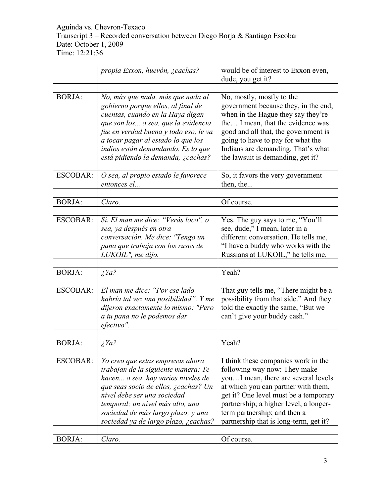|                 | propia Exxon, huevón, ¿cachas?                                                                                                                                                                                                                                                                                | would be of interest to Exxon even,                                                                                                                                                                                                                                                                            |
|-----------------|---------------------------------------------------------------------------------------------------------------------------------------------------------------------------------------------------------------------------------------------------------------------------------------------------------------|----------------------------------------------------------------------------------------------------------------------------------------------------------------------------------------------------------------------------------------------------------------------------------------------------------------|
|                 |                                                                                                                                                                                                                                                                                                               | dude, you get it?                                                                                                                                                                                                                                                                                              |
|                 |                                                                                                                                                                                                                                                                                                               |                                                                                                                                                                                                                                                                                                                |
| <b>BORJA:</b>   | No, más que nada, más que nada al<br>gobierno porque ellos, al final de<br>cuentas, cuando en la Haya digan<br>que son los o sea, que la evidencia<br>fue en verdad buena y todo eso, le va<br>a tocar pagar al estado lo que los<br>indios están demandando. Es lo que<br>está pidiendo la demanda, ¿cachas? | No, mostly, mostly to the<br>government because they, in the end,<br>when in the Hague they say they're<br>the I mean, that the evidence was<br>good and all that, the government is<br>going to have to pay for what the<br>Indians are demanding. That's what<br>the lawsuit is demanding, get it?           |
| <b>ESCOBAR:</b> | O sea, al propio estado le favorece<br>entonces el                                                                                                                                                                                                                                                            | So, it favors the very government<br>then, the                                                                                                                                                                                                                                                                 |
| <b>BORJA:</b>   | Claro.                                                                                                                                                                                                                                                                                                        | Of course.                                                                                                                                                                                                                                                                                                     |
|                 |                                                                                                                                                                                                                                                                                                               |                                                                                                                                                                                                                                                                                                                |
| <b>ESCOBAR:</b> | Sí. El man me dice: "Verás loco", o<br>sea, ya después en otra<br>conversación. Me dice: "Tengo un<br>pana que trabaja con los rusos de<br>LUKOIL", me dijo.                                                                                                                                                  | Yes. The guy says to me, "You'll<br>see, dude," I mean, later in a<br>different conversation. He tells me,<br>"I have a buddy who works with the<br>Russians at LUKOIL," he tells me.                                                                                                                          |
|                 |                                                                                                                                                                                                                                                                                                               |                                                                                                                                                                                                                                                                                                                |
| <b>BORJA:</b>   | $\zeta$ <i>Ya</i> ?                                                                                                                                                                                                                                                                                           | Yeah?                                                                                                                                                                                                                                                                                                          |
| <b>ESCOBAR:</b> | El man me dice: "Por ese lado<br>habría tal vez una posibilidad". Y me<br>dijeron exactamente lo mismo: "Pero<br>a tu pana no le podemos dar<br>efectivo".                                                                                                                                                    | That guy tells me, "There might be a<br>possibility from that side." And they<br>told the exactly the same, "But we<br>can't give your buddy cash."                                                                                                                                                            |
| <b>BORJA:</b>   | $\angle$ <i>Ya</i> ?                                                                                                                                                                                                                                                                                          | Yeah?                                                                                                                                                                                                                                                                                                          |
|                 |                                                                                                                                                                                                                                                                                                               |                                                                                                                                                                                                                                                                                                                |
| <b>ESCOBAR:</b> | Yo creo que estas empresas ahora<br>trabajan de la siguiente manera: Te<br>hacen o sea, hay varios niveles de<br>que seas socio de ellos, ¿cachas? Un<br>nivel debe ser una sociedad<br>temporal; un nivel más alto, una<br>sociedad de más largo plazo; y una<br>sociedad ya de largo plazo, ¿cachas?        | I think these companies work in the<br>following way now: They make<br>youI mean, there are several levels<br>at which you can partner with them,<br>get it? One level must be a temporary<br>partnership; a higher level, a longer-<br>term partnership; and then a<br>partnership that is long-term, get it? |
| <b>BORJA:</b>   | Claro.                                                                                                                                                                                                                                                                                                        | Of course.                                                                                                                                                                                                                                                                                                     |
|                 |                                                                                                                                                                                                                                                                                                               |                                                                                                                                                                                                                                                                                                                |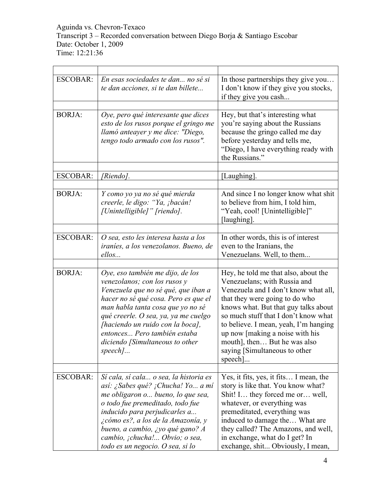| <b>ESCOBAR:</b> | En esas sociedades te dan no sé si<br>te dan acciones, si te dan billete                                                                                                                                                                                                                                                                       | In those partnerships they give you<br>I don't know if they give you stocks,<br>if they give you cash                                                                                                                                                                                                                                                                                     |
|-----------------|------------------------------------------------------------------------------------------------------------------------------------------------------------------------------------------------------------------------------------------------------------------------------------------------------------------------------------------------|-------------------------------------------------------------------------------------------------------------------------------------------------------------------------------------------------------------------------------------------------------------------------------------------------------------------------------------------------------------------------------------------|
| <b>BORJA:</b>   | Oye, pero qué interesante que dices<br>esto de los rusos porque el gringo me<br>llamó anteayer y me dice: "Diego,<br>tengo todo armado con los rusos".                                                                                                                                                                                         | Hey, but that's interesting what<br>you're saying about the Russians<br>because the gringo called me day<br>before yesterday and tells me,<br>"Diego, I have everything ready with<br>the Russians."                                                                                                                                                                                      |
| <b>ESCOBAR:</b> | [Riendo].                                                                                                                                                                                                                                                                                                                                      | [Laughing].                                                                                                                                                                                                                                                                                                                                                                               |
| <b>BORJA:</b>   | Y como yo ya no sé qué mierda<br>creerle, le digo: "Ya, ¡bacán!<br>[Unintelligible]" [riendo].                                                                                                                                                                                                                                                 | And since I no longer know what shit<br>to believe from him, I told him,<br>"Yeah, cool! [Unintelligible]"<br>[laughing].                                                                                                                                                                                                                                                                 |
| <b>ESCOBAR:</b> | O sea, esto les interesa hasta a los<br>iraníes, a los venezolanos. Bueno, de<br>ellos                                                                                                                                                                                                                                                         | In other words, this is of interest<br>even to the Iranians, the<br>Venezuelans. Well, to them                                                                                                                                                                                                                                                                                            |
| <b>BORJA:</b>   | Oye, eso también me dijo, de los<br>venezolanos; con los rusos y<br>Venezuela que no sé qué, que iban a<br>hacer no sé qué cosa. Pero es que el<br>man habla tanta cosa que yo no sé<br>qué creerle. O sea, ya, ya me cuelgo<br>[haciendo un ruido con la boca],<br>entonces Pero también estaba<br>diciendo [Simultaneous to other<br>speech] | Hey, he told me that also, about the<br>Venezuelans; with Russia and<br>Venezuela and I don't know what all,<br>that they were going to do who<br>knows what. But that guy talks about<br>so much stuff that I don't know what<br>to believe. I mean, yeah, I'm hanging<br>up now [making a noise with his<br>mouth], then But he was also<br>saying [Simultaneous to other<br>$specch$ ] |
| <b>ESCOBAR:</b> | Sí cala, sí cala o sea, la historia es<br>así: ¿Sabes qué? ¡Chucha! Yo a mí<br>me obligaron o bueno, lo que sea,<br>o todo fue premeditado, todo fue<br>inducido para perjudicarles a<br>¿cómo es?, a los de la Amazonía, y<br>bueno, a cambio, ¿yo qué gano? A<br>cambio, ¡chucha! Obvio; o sea,<br>todo es un negocio. O sea, si lo          | Yes, it fits, yes, it fits I mean, the<br>story is like that. You know what?<br>Shit! I they forced me or well,<br>whatever, or everything was<br>premeditated, everything was<br>induced to damage the What are<br>they called? The Amazons, and well,<br>in exchange, what do I get? In<br>exchange, shit Obviously, I mean,                                                            |

 $\overline{\phantom{0}}$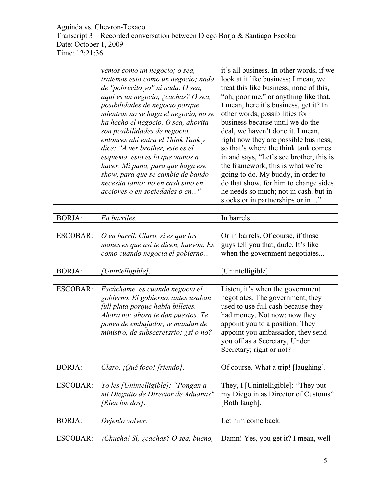| look at it like business; I mean, we<br>tratemos esto como un negocio; nada<br>treat this like business; none of this,<br>de "pobrecito yo" ni nada. O sea,<br>"oh, poor me," or anything like that.<br>aquí es un negocio, ¿cachas? O sea,<br>I mean, here it's business, get it? In<br>posibilidades de negocio porque<br>other words, possibilities for<br>mientras no se haga el negocio, no se<br>business because until we do the<br>ha hecho el negocio. O sea, ahorita<br>deal, we haven't done it. I mean,<br>son posibilidades de negocio,<br>right now they are possible business,<br>entonces ahí entra el Think Tank y<br>dice: "A ver brother, este es el<br>so that's where the think tank comes<br>in and says, "Let's see brother, this is<br>esquema, esto es lo que vamos a<br>the framework, this is what we're<br>hacer. Mi pana, para que haga ese<br>show, para que se cambie de bando<br>going to do. My buddy, in order to<br>do that show, for him to change sides<br>necesita tanto; no en cash sino en<br>he needs so much; not in cash, but in<br>acciones o en sociedades o en"<br>stocks or in partnerships or in"<br><b>BORJA:</b><br>In barrels.<br>En barriles.<br><b>ESCOBAR:</b><br>Or in barrels. Of course, if those<br>O en barril. Claro, si es que los<br>guys tell you that, dude. It's like<br>manes es que así te dicen, huevón. Es<br>como cuando negocia el gobierno<br>when the government negotiates<br><b>BORJA:</b><br>[Unintelligible]<br>Unintelligible].<br><b>ESCOBAR:</b><br>Escúchame, es cuando negocia el<br>Listen, it's when the government<br>gobierno. El gobierno, antes usaban<br>negotiates. The government, they<br>full plata porque había billetes.<br>used to use full cash because they<br>had money. Not now; now they<br>Ahora no; ahora te dan puestos. Te<br>appoint you to a position. They<br>ponen de embajador, te mandan de<br>appoint you ambassador, they send<br>ministro, de subsecretario; ¿sí o no?<br>you off as a Secretary, Under<br>Secretary; right or not?<br><b>BORJA:</b><br>Claro. ¡Qué foco! [riendo].<br>Of course. What a trip! [laughing].<br><b>ESCOBAR:</b><br>Yo les [Unintelligible]: "Pongan a<br>They, I [Unintelligible]: "They put<br>mi Dieguito de Director de Aduanas"<br>my Diego in as Director of Customs" | vemos como un negocio; o sea, | it's all business. In other words, if we |
|----------------------------------------------------------------------------------------------------------------------------------------------------------------------------------------------------------------------------------------------------------------------------------------------------------------------------------------------------------------------------------------------------------------------------------------------------------------------------------------------------------------------------------------------------------------------------------------------------------------------------------------------------------------------------------------------------------------------------------------------------------------------------------------------------------------------------------------------------------------------------------------------------------------------------------------------------------------------------------------------------------------------------------------------------------------------------------------------------------------------------------------------------------------------------------------------------------------------------------------------------------------------------------------------------------------------------------------------------------------------------------------------------------------------------------------------------------------------------------------------------------------------------------------------------------------------------------------------------------------------------------------------------------------------------------------------------------------------------------------------------------------------------------------------------------------------------------------------------------------------------------------------------------------------------------------------------------------------------------------------------------------------------------------------------------------------------------------------------------------------------------------------------------------------------------------------------------------------------------------------------------------------------------------------------------------------------|-------------------------------|------------------------------------------|
|                                                                                                                                                                                                                                                                                                                                                                                                                                                                                                                                                                                                                                                                                                                                                                                                                                                                                                                                                                                                                                                                                                                                                                                                                                                                                                                                                                                                                                                                                                                                                                                                                                                                                                                                                                                                                                                                                                                                                                                                                                                                                                                                                                                                                                                                                                                            |                               |                                          |
|                                                                                                                                                                                                                                                                                                                                                                                                                                                                                                                                                                                                                                                                                                                                                                                                                                                                                                                                                                                                                                                                                                                                                                                                                                                                                                                                                                                                                                                                                                                                                                                                                                                                                                                                                                                                                                                                                                                                                                                                                                                                                                                                                                                                                                                                                                                            |                               |                                          |
|                                                                                                                                                                                                                                                                                                                                                                                                                                                                                                                                                                                                                                                                                                                                                                                                                                                                                                                                                                                                                                                                                                                                                                                                                                                                                                                                                                                                                                                                                                                                                                                                                                                                                                                                                                                                                                                                                                                                                                                                                                                                                                                                                                                                                                                                                                                            |                               |                                          |
|                                                                                                                                                                                                                                                                                                                                                                                                                                                                                                                                                                                                                                                                                                                                                                                                                                                                                                                                                                                                                                                                                                                                                                                                                                                                                                                                                                                                                                                                                                                                                                                                                                                                                                                                                                                                                                                                                                                                                                                                                                                                                                                                                                                                                                                                                                                            |                               |                                          |
|                                                                                                                                                                                                                                                                                                                                                                                                                                                                                                                                                                                                                                                                                                                                                                                                                                                                                                                                                                                                                                                                                                                                                                                                                                                                                                                                                                                                                                                                                                                                                                                                                                                                                                                                                                                                                                                                                                                                                                                                                                                                                                                                                                                                                                                                                                                            |                               |                                          |
|                                                                                                                                                                                                                                                                                                                                                                                                                                                                                                                                                                                                                                                                                                                                                                                                                                                                                                                                                                                                                                                                                                                                                                                                                                                                                                                                                                                                                                                                                                                                                                                                                                                                                                                                                                                                                                                                                                                                                                                                                                                                                                                                                                                                                                                                                                                            |                               |                                          |
|                                                                                                                                                                                                                                                                                                                                                                                                                                                                                                                                                                                                                                                                                                                                                                                                                                                                                                                                                                                                                                                                                                                                                                                                                                                                                                                                                                                                                                                                                                                                                                                                                                                                                                                                                                                                                                                                                                                                                                                                                                                                                                                                                                                                                                                                                                                            |                               |                                          |
|                                                                                                                                                                                                                                                                                                                                                                                                                                                                                                                                                                                                                                                                                                                                                                                                                                                                                                                                                                                                                                                                                                                                                                                                                                                                                                                                                                                                                                                                                                                                                                                                                                                                                                                                                                                                                                                                                                                                                                                                                                                                                                                                                                                                                                                                                                                            |                               |                                          |
|                                                                                                                                                                                                                                                                                                                                                                                                                                                                                                                                                                                                                                                                                                                                                                                                                                                                                                                                                                                                                                                                                                                                                                                                                                                                                                                                                                                                                                                                                                                                                                                                                                                                                                                                                                                                                                                                                                                                                                                                                                                                                                                                                                                                                                                                                                                            |                               |                                          |
|                                                                                                                                                                                                                                                                                                                                                                                                                                                                                                                                                                                                                                                                                                                                                                                                                                                                                                                                                                                                                                                                                                                                                                                                                                                                                                                                                                                                                                                                                                                                                                                                                                                                                                                                                                                                                                                                                                                                                                                                                                                                                                                                                                                                                                                                                                                            |                               |                                          |
|                                                                                                                                                                                                                                                                                                                                                                                                                                                                                                                                                                                                                                                                                                                                                                                                                                                                                                                                                                                                                                                                                                                                                                                                                                                                                                                                                                                                                                                                                                                                                                                                                                                                                                                                                                                                                                                                                                                                                                                                                                                                                                                                                                                                                                                                                                                            |                               |                                          |
|                                                                                                                                                                                                                                                                                                                                                                                                                                                                                                                                                                                                                                                                                                                                                                                                                                                                                                                                                                                                                                                                                                                                                                                                                                                                                                                                                                                                                                                                                                                                                                                                                                                                                                                                                                                                                                                                                                                                                                                                                                                                                                                                                                                                                                                                                                                            |                               |                                          |
|                                                                                                                                                                                                                                                                                                                                                                                                                                                                                                                                                                                                                                                                                                                                                                                                                                                                                                                                                                                                                                                                                                                                                                                                                                                                                                                                                                                                                                                                                                                                                                                                                                                                                                                                                                                                                                                                                                                                                                                                                                                                                                                                                                                                                                                                                                                            |                               |                                          |
|                                                                                                                                                                                                                                                                                                                                                                                                                                                                                                                                                                                                                                                                                                                                                                                                                                                                                                                                                                                                                                                                                                                                                                                                                                                                                                                                                                                                                                                                                                                                                                                                                                                                                                                                                                                                                                                                                                                                                                                                                                                                                                                                                                                                                                                                                                                            |                               |                                          |
|                                                                                                                                                                                                                                                                                                                                                                                                                                                                                                                                                                                                                                                                                                                                                                                                                                                                                                                                                                                                                                                                                                                                                                                                                                                                                                                                                                                                                                                                                                                                                                                                                                                                                                                                                                                                                                                                                                                                                                                                                                                                                                                                                                                                                                                                                                                            |                               |                                          |
|                                                                                                                                                                                                                                                                                                                                                                                                                                                                                                                                                                                                                                                                                                                                                                                                                                                                                                                                                                                                                                                                                                                                                                                                                                                                                                                                                                                                                                                                                                                                                                                                                                                                                                                                                                                                                                                                                                                                                                                                                                                                                                                                                                                                                                                                                                                            |                               |                                          |
|                                                                                                                                                                                                                                                                                                                                                                                                                                                                                                                                                                                                                                                                                                                                                                                                                                                                                                                                                                                                                                                                                                                                                                                                                                                                                                                                                                                                                                                                                                                                                                                                                                                                                                                                                                                                                                                                                                                                                                                                                                                                                                                                                                                                                                                                                                                            |                               |                                          |
|                                                                                                                                                                                                                                                                                                                                                                                                                                                                                                                                                                                                                                                                                                                                                                                                                                                                                                                                                                                                                                                                                                                                                                                                                                                                                                                                                                                                                                                                                                                                                                                                                                                                                                                                                                                                                                                                                                                                                                                                                                                                                                                                                                                                                                                                                                                            |                               |                                          |
|                                                                                                                                                                                                                                                                                                                                                                                                                                                                                                                                                                                                                                                                                                                                                                                                                                                                                                                                                                                                                                                                                                                                                                                                                                                                                                                                                                                                                                                                                                                                                                                                                                                                                                                                                                                                                                                                                                                                                                                                                                                                                                                                                                                                                                                                                                                            |                               |                                          |
|                                                                                                                                                                                                                                                                                                                                                                                                                                                                                                                                                                                                                                                                                                                                                                                                                                                                                                                                                                                                                                                                                                                                                                                                                                                                                                                                                                                                                                                                                                                                                                                                                                                                                                                                                                                                                                                                                                                                                                                                                                                                                                                                                                                                                                                                                                                            |                               |                                          |
|                                                                                                                                                                                                                                                                                                                                                                                                                                                                                                                                                                                                                                                                                                                                                                                                                                                                                                                                                                                                                                                                                                                                                                                                                                                                                                                                                                                                                                                                                                                                                                                                                                                                                                                                                                                                                                                                                                                                                                                                                                                                                                                                                                                                                                                                                                                            |                               |                                          |
|                                                                                                                                                                                                                                                                                                                                                                                                                                                                                                                                                                                                                                                                                                                                                                                                                                                                                                                                                                                                                                                                                                                                                                                                                                                                                                                                                                                                                                                                                                                                                                                                                                                                                                                                                                                                                                                                                                                                                                                                                                                                                                                                                                                                                                                                                                                            |                               |                                          |
|                                                                                                                                                                                                                                                                                                                                                                                                                                                                                                                                                                                                                                                                                                                                                                                                                                                                                                                                                                                                                                                                                                                                                                                                                                                                                                                                                                                                                                                                                                                                                                                                                                                                                                                                                                                                                                                                                                                                                                                                                                                                                                                                                                                                                                                                                                                            |                               |                                          |
|                                                                                                                                                                                                                                                                                                                                                                                                                                                                                                                                                                                                                                                                                                                                                                                                                                                                                                                                                                                                                                                                                                                                                                                                                                                                                                                                                                                                                                                                                                                                                                                                                                                                                                                                                                                                                                                                                                                                                                                                                                                                                                                                                                                                                                                                                                                            |                               |                                          |
|                                                                                                                                                                                                                                                                                                                                                                                                                                                                                                                                                                                                                                                                                                                                                                                                                                                                                                                                                                                                                                                                                                                                                                                                                                                                                                                                                                                                                                                                                                                                                                                                                                                                                                                                                                                                                                                                                                                                                                                                                                                                                                                                                                                                                                                                                                                            |                               |                                          |
|                                                                                                                                                                                                                                                                                                                                                                                                                                                                                                                                                                                                                                                                                                                                                                                                                                                                                                                                                                                                                                                                                                                                                                                                                                                                                                                                                                                                                                                                                                                                                                                                                                                                                                                                                                                                                                                                                                                                                                                                                                                                                                                                                                                                                                                                                                                            |                               |                                          |
|                                                                                                                                                                                                                                                                                                                                                                                                                                                                                                                                                                                                                                                                                                                                                                                                                                                                                                                                                                                                                                                                                                                                                                                                                                                                                                                                                                                                                                                                                                                                                                                                                                                                                                                                                                                                                                                                                                                                                                                                                                                                                                                                                                                                                                                                                                                            |                               |                                          |
|                                                                                                                                                                                                                                                                                                                                                                                                                                                                                                                                                                                                                                                                                                                                                                                                                                                                                                                                                                                                                                                                                                                                                                                                                                                                                                                                                                                                                                                                                                                                                                                                                                                                                                                                                                                                                                                                                                                                                                                                                                                                                                                                                                                                                                                                                                                            |                               |                                          |
|                                                                                                                                                                                                                                                                                                                                                                                                                                                                                                                                                                                                                                                                                                                                                                                                                                                                                                                                                                                                                                                                                                                                                                                                                                                                                                                                                                                                                                                                                                                                                                                                                                                                                                                                                                                                                                                                                                                                                                                                                                                                                                                                                                                                                                                                                                                            |                               |                                          |
|                                                                                                                                                                                                                                                                                                                                                                                                                                                                                                                                                                                                                                                                                                                                                                                                                                                                                                                                                                                                                                                                                                                                                                                                                                                                                                                                                                                                                                                                                                                                                                                                                                                                                                                                                                                                                                                                                                                                                                                                                                                                                                                                                                                                                                                                                                                            |                               |                                          |
|                                                                                                                                                                                                                                                                                                                                                                                                                                                                                                                                                                                                                                                                                                                                                                                                                                                                                                                                                                                                                                                                                                                                                                                                                                                                                                                                                                                                                                                                                                                                                                                                                                                                                                                                                                                                                                                                                                                                                                                                                                                                                                                                                                                                                                                                                                                            |                               |                                          |
|                                                                                                                                                                                                                                                                                                                                                                                                                                                                                                                                                                                                                                                                                                                                                                                                                                                                                                                                                                                                                                                                                                                                                                                                                                                                                                                                                                                                                                                                                                                                                                                                                                                                                                                                                                                                                                                                                                                                                                                                                                                                                                                                                                                                                                                                                                                            |                               |                                          |
|                                                                                                                                                                                                                                                                                                                                                                                                                                                                                                                                                                                                                                                                                                                                                                                                                                                                                                                                                                                                                                                                                                                                                                                                                                                                                                                                                                                                                                                                                                                                                                                                                                                                                                                                                                                                                                                                                                                                                                                                                                                                                                                                                                                                                                                                                                                            |                               |                                          |
|                                                                                                                                                                                                                                                                                                                                                                                                                                                                                                                                                                                                                                                                                                                                                                                                                                                                                                                                                                                                                                                                                                                                                                                                                                                                                                                                                                                                                                                                                                                                                                                                                                                                                                                                                                                                                                                                                                                                                                                                                                                                                                                                                                                                                                                                                                                            |                               |                                          |
|                                                                                                                                                                                                                                                                                                                                                                                                                                                                                                                                                                                                                                                                                                                                                                                                                                                                                                                                                                                                                                                                                                                                                                                                                                                                                                                                                                                                                                                                                                                                                                                                                                                                                                                                                                                                                                                                                                                                                                                                                                                                                                                                                                                                                                                                                                                            |                               |                                          |
|                                                                                                                                                                                                                                                                                                                                                                                                                                                                                                                                                                                                                                                                                                                                                                                                                                                                                                                                                                                                                                                                                                                                                                                                                                                                                                                                                                                                                                                                                                                                                                                                                                                                                                                                                                                                                                                                                                                                                                                                                                                                                                                                                                                                                                                                                                                            |                               |                                          |
|                                                                                                                                                                                                                                                                                                                                                                                                                                                                                                                                                                                                                                                                                                                                                                                                                                                                                                                                                                                                                                                                                                                                                                                                                                                                                                                                                                                                                                                                                                                                                                                                                                                                                                                                                                                                                                                                                                                                                                                                                                                                                                                                                                                                                                                                                                                            |                               |                                          |
| [Ríen los dos].<br>[Both laugh].                                                                                                                                                                                                                                                                                                                                                                                                                                                                                                                                                                                                                                                                                                                                                                                                                                                                                                                                                                                                                                                                                                                                                                                                                                                                                                                                                                                                                                                                                                                                                                                                                                                                                                                                                                                                                                                                                                                                                                                                                                                                                                                                                                                                                                                                                           |                               |                                          |
| <b>BORJA:</b><br>Let him come back.<br>Déjenlo volver.                                                                                                                                                                                                                                                                                                                                                                                                                                                                                                                                                                                                                                                                                                                                                                                                                                                                                                                                                                                                                                                                                                                                                                                                                                                                                                                                                                                                                                                                                                                                                                                                                                                                                                                                                                                                                                                                                                                                                                                                                                                                                                                                                                                                                                                                     |                               |                                          |
|                                                                                                                                                                                                                                                                                                                                                                                                                                                                                                                                                                                                                                                                                                                                                                                                                                                                                                                                                                                                                                                                                                                                                                                                                                                                                                                                                                                                                                                                                                                                                                                                                                                                                                                                                                                                                                                                                                                                                                                                                                                                                                                                                                                                                                                                                                                            |                               |                                          |
| <b>ESCOBAR:</b><br>¡Chucha! Sí, ¿cachas? O sea, bueno,<br>Damn! Yes, you get it? I mean, well                                                                                                                                                                                                                                                                                                                                                                                                                                                                                                                                                                                                                                                                                                                                                                                                                                                                                                                                                                                                                                                                                                                                                                                                                                                                                                                                                                                                                                                                                                                                                                                                                                                                                                                                                                                                                                                                                                                                                                                                                                                                                                                                                                                                                              |                               |                                          |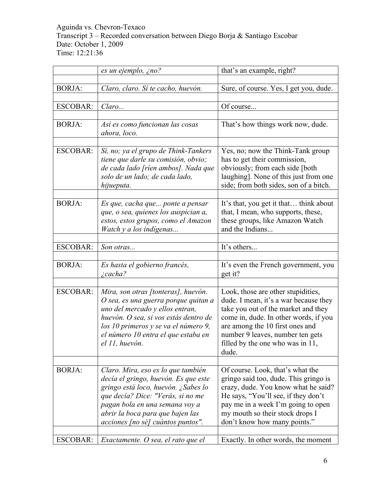|                 | es un ejemplo, ¿no?                                                                                                                                                                                                                                      | that's an example, right?                                                                                                                                                                                                                                                      |
|-----------------|----------------------------------------------------------------------------------------------------------------------------------------------------------------------------------------------------------------------------------------------------------|--------------------------------------------------------------------------------------------------------------------------------------------------------------------------------------------------------------------------------------------------------------------------------|
| <b>BORJA:</b>   | Claro, claro. Sí te cacho, huevón.                                                                                                                                                                                                                       | Sure, of course. Yes, I get you, dude.                                                                                                                                                                                                                                         |
| <b>ESCOBAR:</b> | Claro                                                                                                                                                                                                                                                    | Of course                                                                                                                                                                                                                                                                      |
| <b>BORJA:</b>   | Así es como funcionan las cosas<br>ahora, loco.                                                                                                                                                                                                          | That's how things work now, dude.                                                                                                                                                                                                                                              |
| <b>ESCOBAR:</b> | Sí, no; ya el grupo de Think-Tankers<br>tiene que darle su comisión, obvio;<br>de cada lado [ríen ambos]. Nada que<br>solo de un lado; de cada lado,<br>hijueputa.                                                                                       | Yes, no; now the Think-Tank group<br>has to get their commission,<br>obviously; from each side [both<br>laughing]. None of this just from one<br>side; from both sides, son of a bitch.                                                                                        |
| <b>BORJA:</b>   | Es que, cacha que ponte a pensar<br>que, o sea, quienes los auspician a,<br>estos, estos grupos, como el Amazon<br>Watch y a los indígenas                                                                                                               | It's that, you get it that think about<br>that, I mean, who supports, these,<br>these groups, like Amazon Watch<br>and the Indians                                                                                                                                             |
| <b>ESCOBAR:</b> | Son otras                                                                                                                                                                                                                                                | It's others                                                                                                                                                                                                                                                                    |
|                 |                                                                                                                                                                                                                                                          |                                                                                                                                                                                                                                                                                |
| <b>BORJA:</b>   | Es hasta el gobierno francés,<br>$i$ cacha?                                                                                                                                                                                                              | It's even the French government, you<br>get it?                                                                                                                                                                                                                                |
| <b>ESCOBAR:</b> | Mira, son otras [tonteras], huevón.<br>O sea, es una guerra porque quitan a<br>uno del mercado y ellos entran,<br>huevón. O sea, si vos estás dentro de<br>los 10 primeros y se va el número 9,<br>el número 10 entra el que estaba en<br>el 11, huevón. | Look, those are other stupidities,<br>dude. I mean, it's a war because they<br>take you out of the market and they<br>come in, dude. In other words, if you<br>are among the 10 first ones and<br>number 9 leaves, number ten gets<br>filled by the one who was in 11<br>dude. |
| <b>BORJA:</b>   | Claro. Mira, eso es lo que también                                                                                                                                                                                                                       | Of course. Look, that's what the                                                                                                                                                                                                                                               |
|                 | decía el gringo, huevón. Es que este<br>gringo está loco, huevón. ¿Sabes lo<br>que decía? Dice: "Verás, si no me<br>pagan bola en una semana voy a<br>abrir la boca para que bajen las<br>acciones [no sé] cuántos puntos".                              | gringo said too, dude. This gringo is<br>crazy, dude. You know what he said?<br>He says, "You'll see, if they don't<br>pay me in a week I'm going to open<br>my mouth so their stock drops I<br>don't know how many points."                                                   |
| <b>ESCOBAR:</b> | Exactamente. O sea, el rato que el                                                                                                                                                                                                                       | Exactly. In other words, the moment                                                                                                                                                                                                                                            |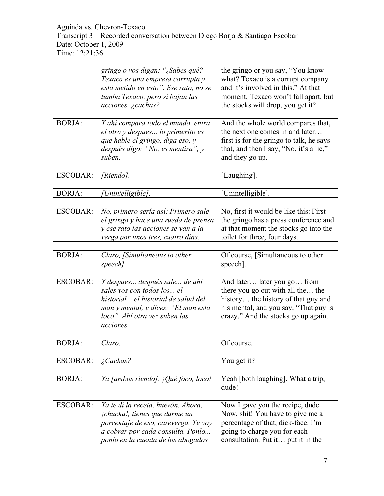|                 | gringo o vos digan: "¿Sabes qué?<br>Texaco es una empresa corrupta y<br>está metido en esto". Ese rato, no se<br>tumba Texaco, pero sí bajan las<br>acciones, ¿cachas?                       | the gringo or you say, "You know<br>what? Texaco is a corrupt company<br>and it's involved in this." At that<br>moment, Texaco won't fall apart, but<br>the stocks will drop, you get it? |
|-----------------|----------------------------------------------------------------------------------------------------------------------------------------------------------------------------------------------|-------------------------------------------------------------------------------------------------------------------------------------------------------------------------------------------|
| <b>BORJA:</b>   | Y ahí compara todo el mundo, entra<br>el otro y después lo primerito es<br>que hable el gringo, diga eso, y<br>después digo: "No, es mentira", y<br>suben.                                   | And the whole world compares that,<br>the next one comes in and later<br>first is for the gringo to talk, he says<br>that, and then I say, "No, it's a lie,"<br>and they go up.           |
| <b>ESCOBAR:</b> | [Riendo].                                                                                                                                                                                    | [Laughing].                                                                                                                                                                               |
| <b>BORJA:</b>   | Unintelligible].                                                                                                                                                                             | [Unintelligible].                                                                                                                                                                         |
| <b>ESCOBAR:</b> | No, primero sería así: Primero sale<br>el gringo y hace una rueda de prensa<br>y ese rato las acciones se van a la<br>verga por unos tres, cuatro días.                                      | No, first it would be like this: First<br>the gringo has a press conference and<br>at that moment the stocks go into the<br>toilet for three, four days.                                  |
| <b>BORJA:</b>   | Claro, [Simultaneous to other<br>$speed$                                                                                                                                                     | Of course, [Simultaneous to other<br>specth]                                                                                                                                              |
| <b>ESCOBAR:</b> | Y después después sale de ahí<br>sales vos con todos los el<br>historial el historial de salud del<br>man y mental, y dices: "El man está<br>loco". Ahí otra vez suben las<br>acciones.      | And later later you go from<br>there you go out with all the the<br>history the history of that guy and<br>his mental, and you say, "That guy is<br>crazy." And the stocks go up again.   |
| <b>BORJA:</b>   | Claro.                                                                                                                                                                                       | Of course.                                                                                                                                                                                |
| <b>ESCOBAR:</b> | $\angle$ Cachas?                                                                                                                                                                             | You get it?                                                                                                                                                                               |
| <b>BORJA:</b>   | Ya [ambos riendo]. ¡Qué foco, loco!                                                                                                                                                          | Yeah [both laughing]. What a trip,<br>dude!                                                                                                                                               |
| <b>ESCOBAR:</b> | Ya te di la receta, huevón. Ahora,<br><i>chucha!, tienes que darme un</i><br>porcentaje de eso, careverga. Te voy<br>a cobrar por cada consulta. Ponlo<br>ponlo en la cuenta de los abogados | Now I gave you the recipe, dude.<br>Now, shit! You have to give me a<br>percentage of that, dick-face. I'm<br>going to charge you for each<br>consultation. Put it put it in the          |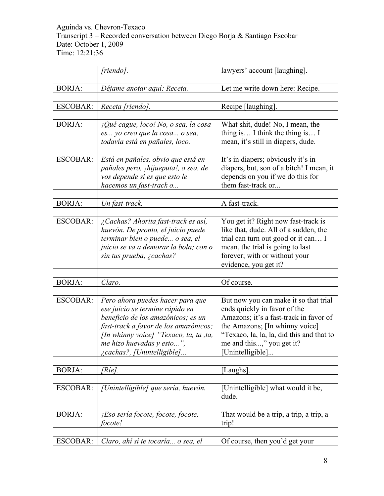|                 | [riendo].                                                             | lawyers' account [laughing].                                                 |
|-----------------|-----------------------------------------------------------------------|------------------------------------------------------------------------------|
|                 |                                                                       |                                                                              |
| <b>BORJA:</b>   | Déjame anotar aquí: Receta.                                           | Let me write down here: Recipe.                                              |
| <b>ESCOBAR:</b> | Receta [riendo].                                                      | Recipe [laughing].                                                           |
|                 |                                                                       |                                                                              |
| <b>BORJA:</b>   | ¡Qué cague, loco! No, o sea, la cosa                                  | What shit, dude! No, I mean, the                                             |
|                 | es yo creo que la cosa o sea,                                         | thing is I think the thing is I                                              |
|                 | todavía está en pañales, loco.                                        | mean, it's still in diapers, dude.                                           |
| <b>ESCOBAR:</b> | Está en pañales, obvio que está en                                    | It's in diapers; obviously it's in                                           |
|                 | pañales pero, ¡hijueputa!, o sea, de                                  | diapers, but, son of a bitch! I mean, it                                     |
|                 | vos depende si es que esto le                                         | depends on you if we do this for                                             |
|                 | hacemos un fast-track o                                               | them fast-track or                                                           |
|                 |                                                                       |                                                                              |
| <b>BORJA:</b>   | Un fast-track.                                                        | A fast-track.                                                                |
|                 |                                                                       |                                                                              |
| <b>ESCOBAR:</b> | ¿Cachas? Ahorita fast-track es así,                                   | You get it? Right now fast-track is                                          |
|                 | huevón. De pronto, el juicio puede<br>terminar bien o puede o sea, el | like that, dude. All of a sudden, the<br>trial can turn out good or it can I |
|                 | juicio se va a demorar la bola; con o                                 | mean, the trial is going to last                                             |
|                 | sin tus prueba, ¿cachas?                                              | forever; with or without your                                                |
|                 |                                                                       | evidence, you get it?                                                        |
|                 |                                                                       |                                                                              |
| <b>BORJA:</b>   | Claro.                                                                | Of course.                                                                   |
|                 |                                                                       |                                                                              |
| <b>ESCOBAR:</b> | Pero ahora puedes hacer para que                                      | But now you can make it so that trial                                        |
|                 | ese juicio se termine rápido en                                       | ends quickly in favor of the                                                 |
|                 | beneficio de los amazónicos; es un                                    | Amazons; it's a fast-track in favor of                                       |
|                 | fast-track a favor de los amazónicos;                                 | the Amazons; [In whinny voice]                                               |
|                 | [In whinny voice] "Texaco, ta, ta, ta,                                | "Texaco, la, la, la, did this and that to                                    |
|                 | me hizo huevadas y esto",<br>¿cachas?, [Unintelligible]               | me and this," you get it?                                                    |
|                 |                                                                       | Unintelligible]                                                              |
| <b>BORJA:</b>   | [Ríe].                                                                | [Laughs].                                                                    |
|                 |                                                                       |                                                                              |
| <b>ESCOBAR:</b> | [Unintelligible] que sería, huevón.                                   | [Unintelligible] what would it be,<br>dude.                                  |
|                 |                                                                       |                                                                              |
| <b>BORJA:</b>   | ¡Eso sería focote, focote, focote,                                    | That would be a trip, a trip, a trip, a                                      |
|                 | focote!                                                               | trip!                                                                        |
| <b>ESCOBAR:</b> | Claro, ahí sí te tocaría o sea, el                                    | Of course, then you'd get your                                               |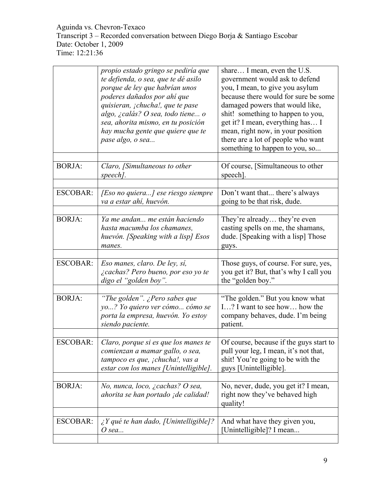|                 | propio estado gringo se pediría que<br>te defienda, o sea, que te dé asilo<br>porque de ley que habrían unos<br>poderes dañados por ahí que<br>quisieran, ¡chucha!, que te pase<br>algo, ¿calás? O sea, todo tiene o<br>sea, ahorita mismo, en tu posición<br>hay mucha gente que quiere que te<br>pase algo, o sea | share I mean, even the U.S.<br>government would ask to defend<br>you, I mean, to give you asylum<br>because there would for sure be some<br>damaged powers that would like,<br>shit! something to happen to you,<br>get it? I mean, everything has I<br>mean, right now, in your position<br>there are a lot of people who want<br>something to happen to you, so |
|-----------------|---------------------------------------------------------------------------------------------------------------------------------------------------------------------------------------------------------------------------------------------------------------------------------------------------------------------|-------------------------------------------------------------------------------------------------------------------------------------------------------------------------------------------------------------------------------------------------------------------------------------------------------------------------------------------------------------------|
| <b>BORJA:</b>   | Claro, [Simultaneous to other<br>speech].                                                                                                                                                                                                                                                                           | Of course, [Simultaneous to other<br>speech].                                                                                                                                                                                                                                                                                                                     |
| <b>ESCOBAR:</b> | [Eso no quiera] ese riesgo siempre<br>va a estar ahí, huevón.                                                                                                                                                                                                                                                       | Don't want that there's always<br>going to be that risk, dude.                                                                                                                                                                                                                                                                                                    |
| <b>BORJA:</b>   | Ya me andan me están haciendo<br>hasta macumba los chamanes,<br>huevón. [Speaking with a lisp] Esos<br>manes.                                                                                                                                                                                                       | They're already they're even<br>casting spells on me, the shamans,<br>dude. [Speaking with a lisp] Those<br>guys.                                                                                                                                                                                                                                                 |
|                 |                                                                                                                                                                                                                                                                                                                     |                                                                                                                                                                                                                                                                                                                                                                   |
| <b>ESCOBAR:</b> | Eso manes, claro. De ley, sí,<br>¿cachas? Pero bueno, por eso yo te<br>digo el "golden boy".                                                                                                                                                                                                                        | Those guys, of course. For sure, yes,<br>you get it? But, that's why I call you<br>the "golden boy."                                                                                                                                                                                                                                                              |
|                 |                                                                                                                                                                                                                                                                                                                     |                                                                                                                                                                                                                                                                                                                                                                   |
| <b>BORJA:</b>   | "The golden". ¿Pero sabes que<br>yo? Yo quiero ver cómo cómo se<br>porta la empresa, huevón. Yo estoy<br>siendo paciente.                                                                                                                                                                                           | "The golden." But you know what<br>I? I want to see how how the<br>company behaves, dude. I'm being<br>patient.                                                                                                                                                                                                                                                   |
|                 |                                                                                                                                                                                                                                                                                                                     |                                                                                                                                                                                                                                                                                                                                                                   |
| <b>ESCOBAR:</b> | Claro, porque si es que los manes te<br>comienzan a mamar gallo, o sea,<br>tampoco es que, ¡chucha!, vas a<br>estar con los manes [Unintelligible].                                                                                                                                                                 | Of course, because if the guys start to<br>pull your leg, I mean, it's not that,<br>shit! You're going to be with the<br>guys [Unintelligible].                                                                                                                                                                                                                   |
|                 |                                                                                                                                                                                                                                                                                                                     |                                                                                                                                                                                                                                                                                                                                                                   |
| <b>BORJA:</b>   | No, nunca, loco, ¿cachas? O sea,<br>ahorita se han portado ¡de calidad!                                                                                                                                                                                                                                             | No, never, dude, you get it? I mean,<br>right now they've behaved high<br>quality!                                                                                                                                                                                                                                                                                |
|                 |                                                                                                                                                                                                                                                                                                                     |                                                                                                                                                                                                                                                                                                                                                                   |
| <b>ESCOBAR:</b> | $\lambda$ <i>Y</i> qué te han dado, [Unintelligible]?<br>O sea                                                                                                                                                                                                                                                      | And what have they given you,<br>[Unintelligible]? I mean                                                                                                                                                                                                                                                                                                         |
|                 |                                                                                                                                                                                                                                                                                                                     |                                                                                                                                                                                                                                                                                                                                                                   |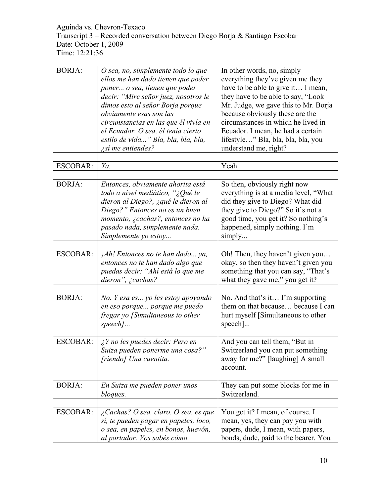| <b>BORJA:</b>   | O sea, no, simplemente todo lo que<br>ellos me han dado tienen que poder<br>poner o sea, tienen que poder<br>decir: "Mire señor juez, nosotros le<br>dimos esto al señor Borja porque<br>obviamente esas son las<br>circunstancias en las que él vivía en<br>el Ecuador. O sea, él tenía cierto<br>estilo de vida" Bla, bla, bla, bla,<br><i>i</i> sí me entiendes? | In other words, no, simply<br>everything they've given me they<br>have to be able to give it I mean,<br>they have to be able to say, "Look"<br>Mr. Judge, we gave this to Mr. Borja<br>because obviously these are the<br>circumstances in which he lived in<br>Ecuador. I mean, he had a certain<br>lifestyle" Bla, bla, bla, bla, you<br>understand me, right? |
|-----------------|---------------------------------------------------------------------------------------------------------------------------------------------------------------------------------------------------------------------------------------------------------------------------------------------------------------------------------------------------------------------|------------------------------------------------------------------------------------------------------------------------------------------------------------------------------------------------------------------------------------------------------------------------------------------------------------------------------------------------------------------|
| <b>ESCOBAR:</b> | Ya.                                                                                                                                                                                                                                                                                                                                                                 | Yeah.                                                                                                                                                                                                                                                                                                                                                            |
|                 |                                                                                                                                                                                                                                                                                                                                                                     |                                                                                                                                                                                                                                                                                                                                                                  |
| <b>BORJA:</b>   | Entonces, obviamente ahorita está<br>todo a nivel mediático, "¿Qué le<br>dieron al Diego?, ¿qué le dieron al<br>Diego?" Entonces no es un buen<br>momento, ¿cachas?, entonces no ha<br>pasado nada, simplemente nada.<br>Simplemente yo estoy                                                                                                                       | So then, obviously right now<br>everything is at a media level, "What<br>did they give to Diego? What did<br>they give to Diego?" So it's not a<br>good time, you get it? So nothing's<br>happened, simply nothing. I'm<br>simply                                                                                                                                |
|                 |                                                                                                                                                                                                                                                                                                                                                                     |                                                                                                                                                                                                                                                                                                                                                                  |
| <b>ESCOBAR:</b> | $jAh!$ Entonces no te han dado ya,<br>entonces no te han dado algo que<br>puedas decir: "Ahí está lo que me<br>dieron", $\zeta$ cachas?                                                                                                                                                                                                                             | Oh! Then, they haven't given you<br>okay, so then they haven't given you<br>something that you can say, "That's<br>what they gave me," you get it?                                                                                                                                                                                                               |
| <b>BORJA:</b>   |                                                                                                                                                                                                                                                                                                                                                                     | No. And that's it I'm supporting                                                                                                                                                                                                                                                                                                                                 |
|                 | No. Y esa es yo les estoy apoyando<br>en eso porque porque me puedo<br>fregar yo [Simultaneous to other<br>$speed$                                                                                                                                                                                                                                                  | them on that because because I can<br>hurt myself [Simultaneous to other<br>$specch$ ]                                                                                                                                                                                                                                                                           |
|                 |                                                                                                                                                                                                                                                                                                                                                                     |                                                                                                                                                                                                                                                                                                                                                                  |
| <b>ESCOBAR:</b> | $i$ Y no les puedes decir: Pero en<br>Suiza pueden ponerme una cosa?"<br>[riendo] Una cuentita.                                                                                                                                                                                                                                                                     | And you can tell them, "But in<br>Switzerland you can put something<br>away for me?" [laughing] A small<br>account.                                                                                                                                                                                                                                              |
|                 |                                                                                                                                                                                                                                                                                                                                                                     |                                                                                                                                                                                                                                                                                                                                                                  |
| <b>BORJA:</b>   | En Suiza me pueden poner unos<br>bloques.                                                                                                                                                                                                                                                                                                                           | They can put some blocks for me in<br>Switzerland.                                                                                                                                                                                                                                                                                                               |
|                 |                                                                                                                                                                                                                                                                                                                                                                     |                                                                                                                                                                                                                                                                                                                                                                  |
| <b>ESCOBAR:</b> | $\lambda$ Cachas? O sea, claro. O sea, es que<br>sí, te pueden pagar en papeles, loco,<br>o sea, en papeles, en bonos, huevón,<br>al portador. Vos sabés cómo                                                                                                                                                                                                       | You get it? I mean, of course. I<br>mean, yes, they can pay you with<br>papers, dude, I mean, with papers,<br>bonds, dude, paid to the bearer. You                                                                                                                                                                                                               |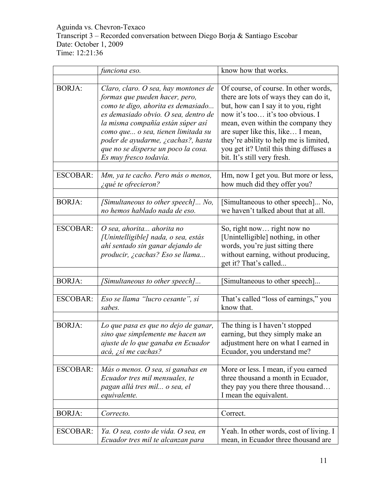|                 | funciona eso.                                                                                                                                                                                                                                                                                                                          | know how that works.                                                                                                                                                                                                                                                                                                                                      |
|-----------------|----------------------------------------------------------------------------------------------------------------------------------------------------------------------------------------------------------------------------------------------------------------------------------------------------------------------------------------|-----------------------------------------------------------------------------------------------------------------------------------------------------------------------------------------------------------------------------------------------------------------------------------------------------------------------------------------------------------|
|                 |                                                                                                                                                                                                                                                                                                                                        |                                                                                                                                                                                                                                                                                                                                                           |
| <b>BORJA:</b>   | Claro, claro. O sea, hay montones de<br>formas que pueden hacer, pero,<br>como te digo, ahorita es demasiado<br>es demasiado obvio. O sea, dentro de<br>la misma compañía están súper así<br>como que o sea, tienen limitada su<br>poder de ayudarme, ¿cachas?, hasta<br>que no se disperse un poco la cosa.<br>Es muy fresco todavía. | Of course, of course. In other words,<br>there are lots of ways they can do it,<br>but, how can I say it to you, right<br>now it's too it's too obvious. I<br>mean, even within the company they<br>are super like this, like I mean,<br>they're ability to help me is limited,<br>you get it? Until this thing diffuses a<br>bit. It's still very fresh. |
| <b>ESCOBAR:</b> | Mm, ya te cacho. Pero más o menos,<br>¿qué te ofrecieron?                                                                                                                                                                                                                                                                              | Hm, now I get you. But more or less,<br>how much did they offer you?                                                                                                                                                                                                                                                                                      |
| <b>BORJA:</b>   | [Simultaneous to other speech] No,<br>no hemos hablado nada de eso.                                                                                                                                                                                                                                                                    | [Simultaneous to other speech] No,<br>we haven't talked about that at all.                                                                                                                                                                                                                                                                                |
| <b>ESCOBAR:</b> | O sea, ahorita ahorita no<br>[Unintelligible] nada, o sea, estás<br>ahí sentado sin ganar dejando de<br>producir, ¿cachas? Eso se llama                                                                                                                                                                                                | So, right now right now no<br>[Unintelligible] nothing, in other<br>words, you're just sitting there<br>without earning, without producing,<br>get it? That's called                                                                                                                                                                                      |
| <b>BORJA:</b>   | [Simultaneous to other speech]                                                                                                                                                                                                                                                                                                         | Simultaneous to other speech]                                                                                                                                                                                                                                                                                                                             |
| <b>ESCOBAR:</b> | Eso se llama "lucro cesante", sí<br>sabes.                                                                                                                                                                                                                                                                                             | That's called "loss of earnings," you<br>know that.                                                                                                                                                                                                                                                                                                       |
| <b>BORJA:</b>   | Lo que pasa es que no dejo de ganar,<br>sino que simplemente me hacen un<br>ajuste de lo que ganaba en Ecuador<br>acá, ¿sí me cachas?                                                                                                                                                                                                  | The thing is I haven't stopped<br>earning, but they simply make an<br>adjustment here on what I earned in<br>Ecuador, you understand me?                                                                                                                                                                                                                  |
| <b>ESCOBAR:</b> | Más o menos. O sea, si ganabas en<br>Ecuador tres mil mensuales, te<br>pagan allá tres mil o sea, el<br>equivalente.                                                                                                                                                                                                                   | More or less. I mean, if you earned<br>three thousand a month in Ecuador,<br>they pay you there three thousand<br>I mean the equivalent.                                                                                                                                                                                                                  |
| <b>BORJA:</b>   | Correcto.                                                                                                                                                                                                                                                                                                                              | Correct.                                                                                                                                                                                                                                                                                                                                                  |
| <b>ESCOBAR:</b> | Ya. O sea, costo de vida. O sea, en<br>Ecuador tres mil te alcanzan para                                                                                                                                                                                                                                                               | Yeah. In other words, cost of living. I<br>mean, in Ecuador three thousand are                                                                                                                                                                                                                                                                            |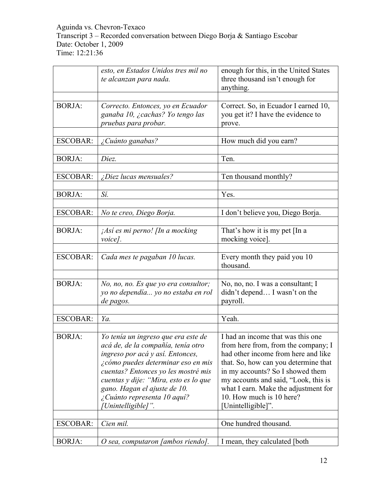|                 | esto, en Estados Unidos tres mil no<br>te alcanzan para nada.                                                                                                                                                                                                                                                            | enough for this, in the United States<br>three thousand isn't enough for<br>anything.                                                                                                                                                                                                                                         |
|-----------------|--------------------------------------------------------------------------------------------------------------------------------------------------------------------------------------------------------------------------------------------------------------------------------------------------------------------------|-------------------------------------------------------------------------------------------------------------------------------------------------------------------------------------------------------------------------------------------------------------------------------------------------------------------------------|
| <b>BORJA:</b>   | Correcto. Entonces, yo en Ecuador<br>ganaba 10, ¿cachas? Yo tengo las<br>pruebas para probar.                                                                                                                                                                                                                            | Correct. So, in Ecuador I earned 10,<br>you get it? I have the evidence to<br>prove.                                                                                                                                                                                                                                          |
| <b>ESCOBAR:</b> | ¿Cuánto ganabas?                                                                                                                                                                                                                                                                                                         | How much did you earn?                                                                                                                                                                                                                                                                                                        |
| <b>BORJA:</b>   | Diez.                                                                                                                                                                                                                                                                                                                    | Ten.                                                                                                                                                                                                                                                                                                                          |
| <b>ESCOBAR:</b> | $\zeta$ Diez lucas mensuales?                                                                                                                                                                                                                                                                                            | Ten thousand monthly?                                                                                                                                                                                                                                                                                                         |
| <b>BORJA:</b>   | Sí.                                                                                                                                                                                                                                                                                                                      | Yes.                                                                                                                                                                                                                                                                                                                          |
| <b>ESCOBAR:</b> | No te creo, Diego Borja.                                                                                                                                                                                                                                                                                                 | I don't believe you, Diego Borja.                                                                                                                                                                                                                                                                                             |
| <b>BORJA:</b>   | ¡Así es mi perno! [In a mocking<br>voice].                                                                                                                                                                                                                                                                               | That's how it is my pet [In a<br>mocking voice].                                                                                                                                                                                                                                                                              |
| <b>ESCOBAR:</b> | Cada mes te pagaban 10 lucas.                                                                                                                                                                                                                                                                                            | Every month they paid you 10<br>thousand.                                                                                                                                                                                                                                                                                     |
| <b>BORJA:</b>   | No, no, no. Es que yo era consultor;<br>yo no dependía yo no estaba en rol<br>de pagos.                                                                                                                                                                                                                                  | No, no, no. I was a consultant; I<br>didn't depend I wasn't on the<br>payroll.                                                                                                                                                                                                                                                |
| <b>ESCOBAR:</b> | Ya.                                                                                                                                                                                                                                                                                                                      | Yeah.                                                                                                                                                                                                                                                                                                                         |
| <b>BORJA:</b>   | Yo tenía un ingreso que era este de<br>acá de, de la compañía, tenía otro<br>ingreso por acá y así. Entonces,<br>¿cómo puedes determinar eso en mis<br>cuentas? Entonces yo les mostré mis<br>cuentas y dije: "Mira, esto es lo que<br>gano. Hagan el ajuste de 10.<br>¿Cuánto representa 10 aquí?<br>/Unintelligible]". | I had an income that was this one<br>from here from, from the company; I<br>had other income from here and like<br>that. So, how can you determine that<br>in my accounts? So I showed them<br>my accounts and said, "Look, this is<br>what I earn. Make the adjustment for<br>10. How much is 10 here?<br>[Unintelligible]". |
| <b>ESCOBAR:</b> | Cien mil.                                                                                                                                                                                                                                                                                                                | One hundred thousand.                                                                                                                                                                                                                                                                                                         |
| <b>BORJA:</b>   | O sea, computaron [ambos riendo].                                                                                                                                                                                                                                                                                        | I mean, they calculated [both]                                                                                                                                                                                                                                                                                                |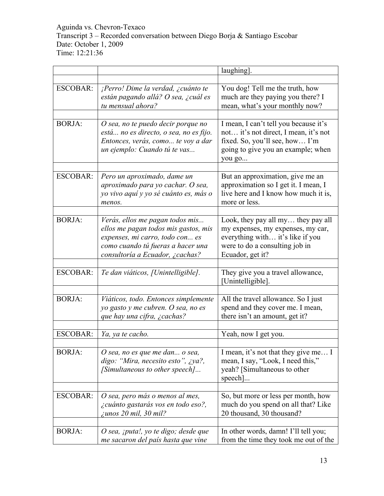|                 |                                                                                                                                                                                    | laughing].                                                                                                                                                        |
|-----------------|------------------------------------------------------------------------------------------------------------------------------------------------------------------------------------|-------------------------------------------------------------------------------------------------------------------------------------------------------------------|
|                 |                                                                                                                                                                                    |                                                                                                                                                                   |
| <b>ESCOBAR:</b> | ¡Perro! Dime la verdad, ¿cuánto te<br>están pagando allá? O sea, ¿cuál es<br>tu mensual ahora?                                                                                     | You dog! Tell me the truth, how<br>much are they paying you there? I<br>mean, what's your monthly now?                                                            |
| <b>BORJA:</b>   | O sea, no te puedo decir porque no<br>está no es directo, o sea, no es fijo.<br>Entonces, verás, como te voy a dar<br>un ejemplo: Cuando tú te vas                                 | I mean, I can't tell you because it's<br>not it's not direct, I mean, it's not<br>fixed. So, you'll see, how I'm<br>going to give you an example; when<br>you go  |
| <b>ESCOBAR:</b> | Pero un aproximado, dame un<br>aproximado para yo cachar. O sea,<br>yo vivo aquí y yo sé cuánto es, más o<br>menos.                                                                | But an approximation, give me an<br>approximation so I get it. I mean, I<br>live here and I know how much it is,<br>more or less.                                 |
| <b>BORJA:</b>   | Verás, ellos me pagan todos mis<br>ellos me pagan todos mis gastos, mis<br>expenses, mi carro, todo con es<br>como cuando tú fueras a hacer una<br>consultoría a Ecuador, ¿cachas? | Look, they pay all my they pay all<br>my expenses, my expenses, my car,<br>everything with it's like if you<br>were to do a consulting job in<br>Ecuador, get it? |
| <b>ESCOBAR:</b> | Te dan viáticos, [Unintelligible].                                                                                                                                                 | They give you a travel allowance,<br>[Unintelligible].                                                                                                            |
| <b>BORJA:</b>   | Viáticos, todo. Entonces simplemente<br>yo gasto y me cubren. O sea, no es<br>que hay una cifra, ¿cachas?                                                                          | All the travel allowance. So I just<br>spend and they cover me. I mean,<br>there isn't an amount, get it?                                                         |
| <b>ESCOBAR:</b> | Ya, ya te cacho.                                                                                                                                                                   | Yeah, now I get you.                                                                                                                                              |
| <b>BORJA:</b>   | O sea, no es que me dan o sea,<br>digo: "Mira, necesito esto", ¿ya?,<br>[Simultaneous to other speech]                                                                             | I mean, it's not that they give me I<br>mean, I say, "Look, I need this,"<br>yeah? [Simultaneous to other<br>speech]                                              |
| <b>ESCOBAR:</b> | O sea, pero más o menos al mes,<br>¿cuánto gastarás vos en todo eso?,<br>$\zeta$ unos 20 mil, 30 mil?                                                                              | So, but more or less per month, how<br>much do you spend on all that? Like<br>20 thousand, 30 thousand?                                                           |
| <b>BORJA:</b>   | O sea, ¡puta!, yo te digo; desde que<br>me sacaron del país hasta que vine                                                                                                         | In other words, damn! I'll tell you;<br>from the time they took me out of the                                                                                     |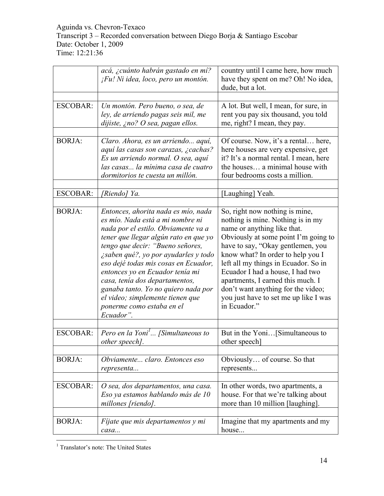|                 | acá, ¿cuánto habrán gastado en mí?<br>¡Fu! Ni idea, loco, pero un montón.                                                                                                                                                                                                                                                                                                                                                                                             | country until I came here, how much<br>have they spent on me? Oh! No idea,<br>dude, but a lot.                                                                                                                                                                                                                                                                                                                                       |
|-----------------|-----------------------------------------------------------------------------------------------------------------------------------------------------------------------------------------------------------------------------------------------------------------------------------------------------------------------------------------------------------------------------------------------------------------------------------------------------------------------|--------------------------------------------------------------------------------------------------------------------------------------------------------------------------------------------------------------------------------------------------------------------------------------------------------------------------------------------------------------------------------------------------------------------------------------|
|                 |                                                                                                                                                                                                                                                                                                                                                                                                                                                                       |                                                                                                                                                                                                                                                                                                                                                                                                                                      |
| ESCOBAR:        | Un montón. Pero bueno, o sea, de<br>ley, de arriendo pagas seis mil, me<br>dijiste, ¿no? O sea, pagan ellos.                                                                                                                                                                                                                                                                                                                                                          | A lot. But well, I mean, for sure, in<br>rent you pay six thousand, you told<br>me, right? I mean, they pay.                                                                                                                                                                                                                                                                                                                         |
|                 |                                                                                                                                                                                                                                                                                                                                                                                                                                                                       |                                                                                                                                                                                                                                                                                                                                                                                                                                      |
| <b>BORJA:</b>   | Claro. Ahora, es un arriendo aquí,<br>aquí las casas son carazas, ¿cachas?<br>Es un arriendo normal. O sea, aquí<br>las casas la mínima casa de cuatro<br>dormitorios te cuesta un millón.                                                                                                                                                                                                                                                                            | Of course. Now, it's a rental here,<br>here houses are very expensive, get<br>it? It's a normal rental. I mean, here<br>the houses a minimal house with<br>four bedrooms costs a million.                                                                                                                                                                                                                                            |
|                 |                                                                                                                                                                                                                                                                                                                                                                                                                                                                       |                                                                                                                                                                                                                                                                                                                                                                                                                                      |
| <b>ESCOBAR:</b> | [Riendo] Ya.                                                                                                                                                                                                                                                                                                                                                                                                                                                          | [Laughing] Yeah.                                                                                                                                                                                                                                                                                                                                                                                                                     |
| <b>BORJA:</b>   | Entonces, ahorita nada es mío, nada<br>es mío. Nada está a mi nombre ni<br>nada por el estilo. Obviamente va a<br>tener que llegar algún rato en que yo<br>tengo que decir: "Bueno señores,<br>¿saben qué?, yo por ayudarles y todo<br>eso dejé todas mis cosas en Ecuador,<br>entonces yo en Ecuador tenía mi<br>casa, tenía dos departamentos,<br>ganaba tanto. Yo no quiero nada por<br>el video; simplemente tienen que<br>ponerme como estaba en el<br>Ecuador". | So, right now nothing is mine,<br>nothing is mine. Nothing is in my<br>name or anything like that.<br>Obviously at some point I'm going to<br>have to say, "Okay gentlemen, you<br>know what? In order to help you I<br>left all my things in Ecuador. So in<br>Ecuador I had a house, I had two<br>apartments, I earned this much. I<br>don't want anything for the video;<br>you just have to set me up like I was<br>in Ecuador." |
| <b>ESCOBAR:</b> | Pero en la Yoni' [Simultaneous to<br>other speech].                                                                                                                                                                                                                                                                                                                                                                                                                   | But in the Yoni[Simultaneous to<br>other speech]                                                                                                                                                                                                                                                                                                                                                                                     |
| <b>BORJA:</b>   | Obviamente claro. Entonces eso<br>representa                                                                                                                                                                                                                                                                                                                                                                                                                          | Obviously of course. So that<br>represents                                                                                                                                                                                                                                                                                                                                                                                           |
|                 |                                                                                                                                                                                                                                                                                                                                                                                                                                                                       |                                                                                                                                                                                                                                                                                                                                                                                                                                      |
| <b>ESCOBAR:</b> | O sea, dos departamentos, una casa.<br>Eso ya estamos hablando más de 10<br>millones [riendo].                                                                                                                                                                                                                                                                                                                                                                        | In other words, two apartments, a<br>house. For that we're talking about<br>more than 10 million [laughing].                                                                                                                                                                                                                                                                                                                         |
|                 |                                                                                                                                                                                                                                                                                                                                                                                                                                                                       |                                                                                                                                                                                                                                                                                                                                                                                                                                      |
| <b>BORJA:</b>   | Fíjate que mis departamentos y mi<br>casa                                                                                                                                                                                                                                                                                                                                                                                                                             | Imagine that my apartments and my<br>house                                                                                                                                                                                                                                                                                                                                                                                           |

 <sup>1</sup> Translator's note: The United States